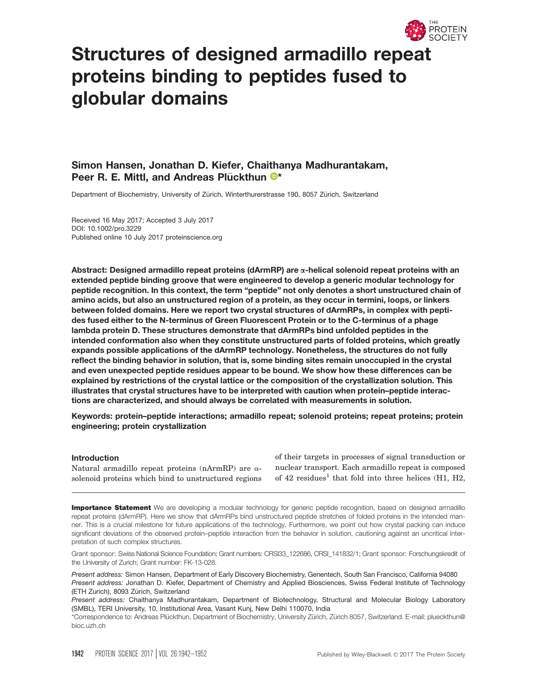

# Structures of designed armadillo repeat proteins binding to peptides fused to globular domains

# Simon Hansen, Jonathan D. Kiefer, Chaithanya Madhurantakam, Peer R. E. Mittl, and Andreas Plückthun  $\mathbb{D}^*$  $\mathbb{D}^*$

Department of Biochemistry, University of Zürich, Winterthurerstrasse 190, 8057 Zürich, Switzerland

Received 16 May 2017; Accepted 3 July 2017 DOI: 10.1002/pro.3229 Published online 10 July 2017 proteinscience.org

Abstract: Designed armadillo repeat proteins (dArmRP) are a-helical solenoid repeat proteins with an extended peptide binding groove that were engineered to develop a generic modular technology for peptide recognition. In this context, the term "peptide" not only denotes a short unstructured chain of amino acids, but also an unstructured region of a protein, as they occur in termini, loops, or linkers between folded domains. Here we report two crystal structures of dArmRPs, in complex with peptides fused either to the N-terminus of Green Fluorescent Protein or to the C-terminus of a phage lambda protein D. These structures demonstrate that dArmRPs bind unfolded peptides in the intended conformation also when they constitute unstructured parts of folded proteins, which greatly expands possible applications of the dArmRP technology. Nonetheless, the structures do not fully reflect the binding behavior in solution, that is, some binding sites remain unoccupied in the crystal and even unexpected peptide residues appear to be bound. We show how these differences can be explained by restrictions of the crystal lattice or the composition of the crystallization solution. This illustrates that crystal structures have to be interpreted with caution when protein–peptide interactions are characterized, and should always be correlated with measurements in solution.

Keywords: protein–peptide interactions; armadillo repeat; solenoid proteins; repeat proteins; protein engineering; protein crystallization

#### Introduction

Natural armadillo repeat proteins (nArmRP) are  $\alpha$ solenoid proteins which bind to unstructured regions of their targets in processes of signal transduction or nuclear transport. Each armadillo repeat is composed of  $42$  residues<sup>1</sup> that fold into three helices (H1, H2,

**Importance Statement** We are developing a modular technology for generic peptide recognition, based on designed armadillo repeat proteins (dArmRP). Here we show that dArmRPs bind unstructured peptide stretches of folded proteins in the intended manner. This is a crucial milestone for future applications of the technology. Furthermore, we point out how crystal packing can induce significant deviations of the observed protein–peptide interaction from the behavior in solution, cautioning against an uncritical interpretation of such complex structures.

Grant sponsor: Swiss National Science Foundation; Grant numbers: CRSI33\_122686, CRSI\_141832/1; Grant sponsor: Forschungskredit of the University of Zurich; Grant number: FK-13-028.

Present address: Simon Hansen, Department of Early Discovery Biochemistry, Genentech, South San Francisco, California 94080 Present address: Jonathan D. Kiefer, Department of Chemistry and Applied Biosciences, Swiss Federal Institute of Technology (ETH Zurich), 8093 Zürich, Switzerland

Present address: Chaithanya Madhurantakam, Department of Biotechnology, Structural and Molecular Biology Laboratory (SMBL), TERI University, 10, Institutional Area, Vasant Kunj, New Delhi 110070, India

\*Correspondence to: Andreas Plückthun, Department of Biochemistry, University Zürich, Zürich 8057, Switzerland. E-mail: plueckthun@ bioc.uzh.ch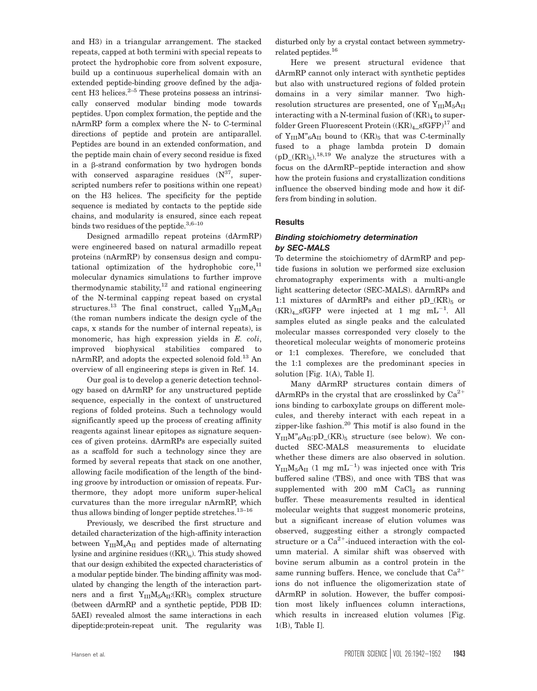and H3) in a triangular arrangement. The stacked repeats, capped at both termini with special repeats to protect the hydrophobic core from solvent exposure, build up a continuous superhelical domain with an extended peptide-binding groove defined by the adjacent H3 helices. $2-5$  These proteins possess an intrinsically conserved modular binding mode towards peptides. Upon complex formation, the peptide and the nArmRP form a complex where the N- to C-terminal directions of peptide and protein are antiparallel. Peptides are bound in an extended conformation, and the peptide main chain of every second residue is fixed in a  $\beta$ -strand conformation by two hydrogen bonds with conserved asparagine residues  $(N^{37},)$  superscripted numbers refer to positions within one repeat) on the H3 helices. The specificity for the peptide sequence is mediated by contacts to the peptide side chains, and modularity is ensured, since each repeat binds two residues of the peptide.  $3,6-10$ 

Designed armadillo repeat proteins (dArmRP) were engineered based on natural armadillo repeat proteins (nArmRP) by consensus design and computational optimization of the hydrophobic core, $^{11}$ molecular dynamics simulations to further improve thermodynamic stability, $12$  and rational engineering of the N-terminal capping repeat based on crystal structures.<sup>13</sup> The final construct, called  $Y_{III}M_{x}A_{II}$ (the roman numbers indicate the design cycle of the caps, x stands for the number of internal repeats), is monomeric, has high expression yields in E. coli, improved biophysical stabilities compared to nArmRP, and adopts the expected solenoid fold.<sup>13</sup> An overview of all engineering steps is given in Ref. 14.

Our goal is to develop a generic detection technology based on dArmRP for any unstructured peptide sequence, especially in the context of unstructured regions of folded proteins. Such a technology would significantly speed up the process of creating affinity reagents against linear epitopes as signature sequences of given proteins. dArmRPs are especially suited as a scaffold for such a technology since they are formed by several repeats that stack on one another, allowing facile modification of the length of the binding groove by introduction or omission of repeats. Furthermore, they adopt more uniform super-helical curvatures than the more irregular nArmRP, which thus allows binding of longer peptide stretches.<sup>13-16</sup>

Previously, we described the first structure and detailed characterization of the high-affinity interaction between  $Y_{III}M_{x}A_{II}$  and peptides made of alternating lysine and arginine residues  $((KR)_n)$ . This study showed that our design exhibited the expected characteristics of a modular peptide binder. The binding affinity was modulated by changing the length of the interaction partners and a first  $Y_{III}M_5A_{II}:(KR)_5$  complex structure (between dArmRP and a synthetic peptide, PDB ID: 5AEI) revealed almost the same interactions in each dipeptide:protein-repeat unit. The regularity was

disturbed only by a crystal contact between symmetryrelated peptides.16

Here we present structural evidence that dArmRP cannot only interact with synthetic peptides but also with unstructured regions of folded protein domains in a very similar manner. Two highresolution structures are presented, one of  $Y_{III}M_5A_{II}$ interacting with a N-terminal fusion of  $(KR)_4$  to superfolder Green Fluorescent Protein  $((KR)_{4-}$ sfGFP $)^{17}$  and of  $Y_{III}M_{6}^{\circ}A_{II}$  bound to  $(KR)_{5}$  that was C-terminally fused to a phage lambda protein D domain  $(pD_{(KR)_5)}$ <sup>18,19</sup> We analyze the structures with a focus on the dArmRP–peptide interaction and show how the protein fusions and crystallization conditions influence the observed binding mode and how it differs from binding in solution.

# Results

# Binding stoichiometry determination by SEC-MALS

To determine the stoichiometry of dArmRP and peptide fusions in solution we performed size exclusion chromatography experiments with a multi-angle light scattering detector (SEC-MALS). dArmRPs and 1:1 mixtures of dArmRPs and either  $pD_{K}(KR)_{5}$  or  $(KR)_{4-}$ sfGFP were injected at 1 mg mL<sup>-1</sup>. All samples eluted as single peaks and the calculated molecular masses corresponded very closely to the theoretical molecular weights of monomeric proteins or 1:1 complexes. Therefore, we concluded that the 1:1 complexes are the predominant species in solution [Fig. 1(A), Table I].

Many dArmRP structures contain dimers of dArmRPs in the crystal that are crosslinked by  $Ca^{2+}$ ions binding to carboxylate groups on different molecules, and thereby interact with each repeat in a zipper-like fashion.<sup>20</sup> This motif is also found in the  $Y_{III}M_{6}^{*}A_{II}$ :pD\_(KR)<sub>5</sub> structure (see below). We conducted SEC-MALS measurements to elucidate whether these dimers are also observed in solution.  $Y_{\text{III}}M_5A_{\text{II}}$  (1 mg mL<sup>-1</sup>) was injected once with Tris buffered saline (TBS), and once with TBS that was supplemented with  $200$  mM CaCl<sub>2</sub> as running buffer. These measurements resulted in identical molecular weights that suggest monomeric proteins, but a significant increase of elution volumes was observed, suggesting either a strongly compacted structure or a  $Ca^{2+}$ -induced interaction with the column material. A similar shift was observed with bovine serum albumin as a control protein in the same running buffers. Hence, we conclude that  $Ca^{2+}$ ions do not influence the oligomerization state of dArmRP in solution. However, the buffer composition most likely influences column interactions, which results in increased elution volumes [Fig. 1(B), Table I].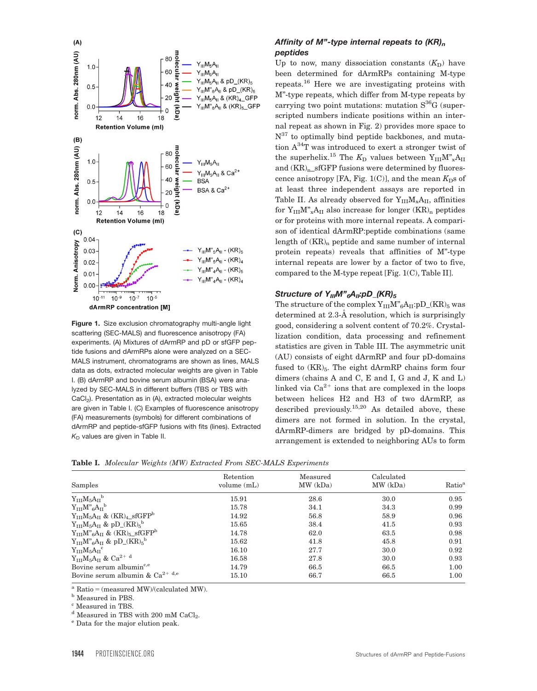

Figure 1. Size exclusion chromatography multi-angle light scattering (SEC-MALS) and fluorescence anisotropy (FA) experiments. (A) Mixtures of dArmRP and pD or sfGFP peptide fusions and dArmRPs alone were analyzed on a SEC-MALS instrument, chromatograms are shown as lines, MALS data as dots, extracted molecular weights are given in Table I. (B) dArmRP and bovine serum albumin (BSA) were analyzed by SEC-MALS in different buffers (TBS or TBS with CaCl<sub>2</sub>). Presentation as in (A), extracted molecular weights are given in Table I. (C) Examples of fluorescence anisotropy (FA) measurements (symbols) for different combinations of dArmRP and peptide-sfGFP fusions with fits (lines). Extracted  $K_D$  values are given in Table II.

# Affinity of M"-type internal repeats to  $(KR)<sub>n</sub>$ peptides

Up to now, many dissociation constants  $(K_D)$  have been determined for dArmRPs containing M-type repeats.<sup>16</sup> Here we are investigating proteins with M"-type repeats, which differ from M-type repeats by carrying two point mutations: mutation  $S^{36}G$  (superscripted numbers indicate positions within an internal repeat as shown in Fig. 2) provides more space to  $N^{37}$  to optimally bind peptide backbones, and mutation A34T was introduced to exert a stronger twist of the superhelix.<sup>15</sup> The  $K_{\text{D}}$  values between  $Y_{\text{III}}M_{\text{X}}^{\text{v}}A_{\text{II}}$ and  $(KR)_{n}$ sfGFP fusions were determined by fluorescence anisotropy [FA, Fig. 1(C)], and the mean  $K<sub>D</sub>$ s of at least three independent assays are reported in Table II. As already observed for  $Y_{III}M_{x}A_{II}$ , affinities for  $Y_{III}M''_{x}A_{II}$  also increase for longer  $(KR)_{n}$  peptides or for proteins with more internal repeats. A comparison of identical dArmRP:peptide combinations (same length of  $(KR)$ <sub>n</sub> peptide and same number of internal protein repeats) reveals that affinities of M"-type internal repeats are lower by a factor of two to five, compared to the M-type repeat [Fig. 1(C), Table II].

# Structure of  $Y_{III}M''_{6}A_{II}$ :pD\_(KR)<sub>5</sub>

The structure of the complex  $Y_{III}M''_{6}A_{II}:pD_{K}(KR)_{5}$  was determined at 2.3-Å resolution, which is surprisingly good, considering a solvent content of 70.2%. Crystallization condition, data processing and refinement statistics are given in Table III. The asymmetric unit (AU) consists of eight dArmRP and four pD-domains fused to  $(KR)_5$ . The eight dArmRP chains form four dimers (chains A and C, E and I, G and J, K and L) linked via  $Ca^{2+}$  ions that are complexed in the loops between helices H2 and H3 of two dArmRP, as described previously.<sup>15,20</sup> As detailed above, these dimers are not formed in solution. In the crystal, dArmRP-dimers are bridged by pD-domains. This arrangement is extended to neighboring AUs to form

|  |  |  |  |  |  |  | Table I. Molecular Weights (MW) Extracted From SEC-MALS Experiments |
|--|--|--|--|--|--|--|---------------------------------------------------------------------|
|--|--|--|--|--|--|--|---------------------------------------------------------------------|

| Samples                                                                   | Retention<br>volume (mL) | Measured<br>MW(kDa) | Calculated<br>MW(kDa) | Ratio <sup>a</sup> |
|---------------------------------------------------------------------------|--------------------------|---------------------|-----------------------|--------------------|
| $Y_{III}M_5A_{II}^{\ b}$                                                  | 15.91                    | 28.6                | 30.0                  | 0.95               |
| $Y_{III}M^{\prime\prime}{}_{6}A_{II}{}^{b}$                               | 15.78                    | 34.1                | 34.3                  | 0.99               |
| $Y_{III}M_5A_{II}$ & $(KR)_{4-}sfGFP^b$                                   | 14.92                    | 56.8                | 58.9                  | 0.96               |
| $Y_{III}M_5A_{II}$ & pD_(KR) <sub>5</sub> <sup>b</sup>                    | 15.65                    | 38.4                | 41.5                  | 0.93               |
| $Y_{III}M_{6}A_{II}$ & $(KR)_{5}$ sfGFP <sup>b</sup>                      | 14.78                    | 62.0                | 63.5                  | 0.98               |
| $Y_{III}M^{\prime\prime}{}_{6}A_{II}$ & pD_(KR) <sub>5</sub> <sup>b</sup> | 15.62                    | 41.8                | 45.8                  | 0.91               |
| $Y_{III}M_5A_{II}^{\phantom{II}c}$                                        | 16.10                    | 27.7                | 30.0                  | 0.92               |
| $Y_{III}M_5A_{II}$ & $Ca^{2+}$ <sup>d</sup>                               | 16.58                    | 27.8                | 30.0                  | 0.93               |
| Bovine serum albumin <sup>c,e</sup>                                       | 14.79                    | 66.5                | 66.5                  | 1.00               |
| Bovine serum albumin & $Ca^{2+ d,e}$                                      | 15.10                    | 66.7                | 66.5                  | 1.00               |

 $^{\rm a}$  Ratio = (measured MW)/(calculated MW).  $^{\rm b}$  Measured in PBS.

<sup>c</sup> Measured in TBS.

<sup>d</sup> Measured in TBS with 200 mM CaCl<sub>2</sub>.<br>
<sup>e</sup> Data for the major elution peak.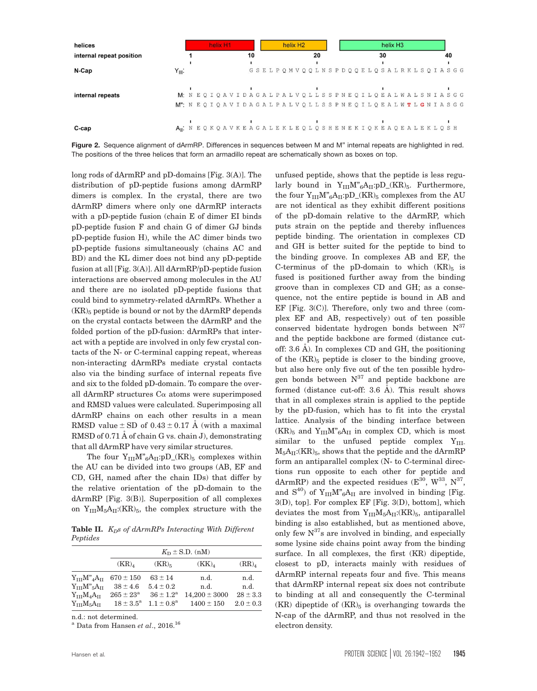| helices                  |                                                                                                                                          |  | helix H1 |  |  |    |                                                                   |  | helix H <sub>2</sub> |  |    |  |  |  |  |    | helix H <sub>3</sub> |  |  |  |    |  |
|--------------------------|------------------------------------------------------------------------------------------------------------------------------------------|--|----------|--|--|----|-------------------------------------------------------------------|--|----------------------|--|----|--|--|--|--|----|----------------------|--|--|--|----|--|
| internal repeat position |                                                                                                                                          |  |          |  |  | 10 |                                                                   |  |                      |  | 20 |  |  |  |  | 30 |                      |  |  |  | 40 |  |
| N-Cap                    | Y <sub>III</sub> :                                                                                                                       |  |          |  |  |    | G S E L P Q M V Q Q L N S P D Q Q E L Q S A L R K L S Q I A S G G |  |                      |  |    |  |  |  |  |    |                      |  |  |  |    |  |
| internal repeats         | M: NEQIQAVIDAGALPALVQLLSSPNEQILQEALWALSNIASGG<br>M": N E Q I Q A V I D A G A L P A L V Q L L S S P N E Q I L Q E A L W T L G N I A S G G |  |          |  |  |    |                                                                   |  |                      |  |    |  |  |  |  |    |                      |  |  |  |    |  |
| C-cap                    | A <sub>II</sub> : N E Q K Q A V K E A G A L E K L E Q L Q S H E N E K I Q K E A Q E A L E K L Q S H                                      |  |          |  |  |    |                                                                   |  |                      |  |    |  |  |  |  |    |                      |  |  |  |    |  |

Figure 2. Sequence alignment of dArmRP. Differences in sequences between M and M" internal repeats are highlighted in red. The positions of the three helices that form an armadillo repeat are schematically shown as boxes on top.

long rods of dArmRP and pD-domains [Fig. 3(A)]. The distribution of pD-peptide fusions among dArmRP dimers is complex. In the crystal, there are two dArmRP dimers where only one dArmRP interacts with a pD-peptide fusion (chain E of dimer EI binds pD-peptide fusion F and chain G of dimer GJ binds pD-peptide fusion H), while the AC dimer binds two pD-peptide fusions simultaneously (chains AC and BD) and the KL dimer does not bind any pD-peptide fusion at all [Fig. 3(A)]. All dArmRP/pD-peptide fusion interactions are observed among molecules in the AU and there are no isolated pD-peptide fusions that could bind to symmetry-related dArmRPs. Whether a  $(KR)_5$  peptide is bound or not by the dArmRP depends on the crystal contacts between the dArmRP and the folded portion of the pD-fusion: dArmRPs that interact with a peptide are involved in only few crystal contacts of the N- or C-terminal capping repeat, whereas non-interacting dArmRPs mediate crystal contacts also via the binding surface of internal repeats five and six to the folded pD-domain. To compare the overall dArmRP structures  $C\alpha$  atoms were superimposed and RMSD values were calculated. Superimposing all dArmRP chains on each other results in a mean RMSD value  $\pm$  SD of 0.43  $\pm$  0.17 Å (with a maximal RMSD of  $0.71 \text{\AA}$  of chain G vs. chain J), demonstrating that all dArmRP have very similar structures.

The four  $Y_{III}M''_{6}A_{II}$ :pD\_(KR)<sub>5</sub> complexes within the AU can be divided into two groups (AB, EF and CD, GH, named after the chain IDs) that differ by the relative orientation of the pD-domain to the dArmRP [Fig. 3(B)]. Superposition of all complexes on  $Y_{III}M_5A_{II}:(KR)_5$ , the complex structure with the

Table II.  $K_{D}$ s of dArmRPs Interacting With Different Peptides

|                                                                                                                                                                               | $K_D \pm$ S.D. (nM)                                                           |                                                                       |                                                     |                                               |  |  |  |  |  |
|-------------------------------------------------------------------------------------------------------------------------------------------------------------------------------|-------------------------------------------------------------------------------|-----------------------------------------------------------------------|-----------------------------------------------------|-----------------------------------------------|--|--|--|--|--|
|                                                                                                                                                                               | $(KR)_{4}$                                                                    | $(KR)_{5}$                                                            | $(KK)_{4}$                                          | $(RR)_{4}$                                    |  |  |  |  |  |
| $Y_{\text{III}}M^{\prime\prime}{}_{4}\text{A}_{\text{II}}$<br>$Y_{III}M_{5}^{\prime\prime}A_{II}$<br>$Y_{\text{III}}M_{4}A_{\text{II}}$<br>$Y_{\text{III}}M_{5}A_{\text{II}}$ | $670 \pm 150$<br>$38 \pm 4.6$<br>$265 \pm 23^{\rm a}$<br>$18 \pm 3.5^{\rm a}$ | $63 \pm 14$<br>$5.4 \pm 0.2$<br>$36 \pm 1.2^{\rm a}$<br>$1.1 + 0.8^a$ | n.d.<br>n.d.<br>$14,200 \pm 3000$<br>$1400 \pm 150$ | n.d.<br>n.d.<br>$28 \pm 3.3$<br>$2.0 \pm 0.3$ |  |  |  |  |  |

n.d.: not determined.

 $^{\rm a}$  Data from Hansen  $et$   $al.,$   $2016. ^{16}$ 

unfused peptide, shows that the peptide is less regularly bound in  $Y_{III}M''_{6}A_{II}$ :pD\_(KR)<sub>5</sub>. Furthermore, the four  $Y_{III}M_{6}^{*}A_{II}$ :pD\_(KR)<sub>5</sub> complexes from the AU are not identical as they exhibit different positions of the pD-domain relative to the dArmRP, which puts strain on the peptide and thereby influences peptide binding. The orientation in complexes CD and GH is better suited for the peptide to bind to the binding groove. In complexes AB and EF, the C-terminus of the pD-domain to which  $(KR)_5$  is fused is positioned further away from the binding groove than in complexes CD and GH; as a consequence, not the entire peptide is bound in AB and EF [Fig. 3(C)]. Therefore, only two and three (complex EF and AB, respectively) out of ten possible conserved bidentate hydrogen bonds between  $N^{37}$ and the peptide backbone are formed (distance cutoff:  $3.6$  Å). In complexes CD and GH, the positioning of the  $(KR)$ <sub>5</sub> peptide is closer to the binding groove, but also here only five out of the ten possible hydrogen bonds between  $N^{37}$  and peptide backbone are formed (distance cut-off:  $3.6$  Å). This result shows that in all complexes strain is applied to the peptide by the pD-fusion, which has to fit into the crystal lattice. Analysis of the binding interface between  $(KR)_5$  and  $Y_{III}M^{\prime\prime}{}_{6}A_{II}$  in complex CD, which is most similar to the unfused peptide complex  $Y_{III}$ .  $M_5A_{II}$ :(KR)<sub>5</sub>, shows that the peptide and the dArmRP form an antiparallel complex (N- to C-terminal directions run opposite to each other for peptide and dArmRP) and the expected residues ( $E^{30}$ ,  $W^{33}$ ,  $N^{37}$ , and  $S^{40}$ ) of  $Y_{III}M^{\nu}{}_{6}A_{II}$  are involved in binding [Fig. 3(D), top]. For complex EF [Fig. 3(D), bottom], which deviates the most from  $Y_{III}M_5A_{II}:(KR)_5$ , antiparallel binding is also established, but as mentioned above, only few  $N^{37}$ s are involved in binding, and especially some lysine side chains point away from the binding surface. In all complexes, the first (KR) dipeptide, closest to pD, interacts mainly with residues of dArmRP internal repeats four and five. This means that dArmRP internal repeat six does not contribute to binding at all and consequently the C-terminal  $(KR)$  dipeptide of  $(KR)_5$  is overhanging towards the N-cap of the dArmRP, and thus not resolved in the electron density.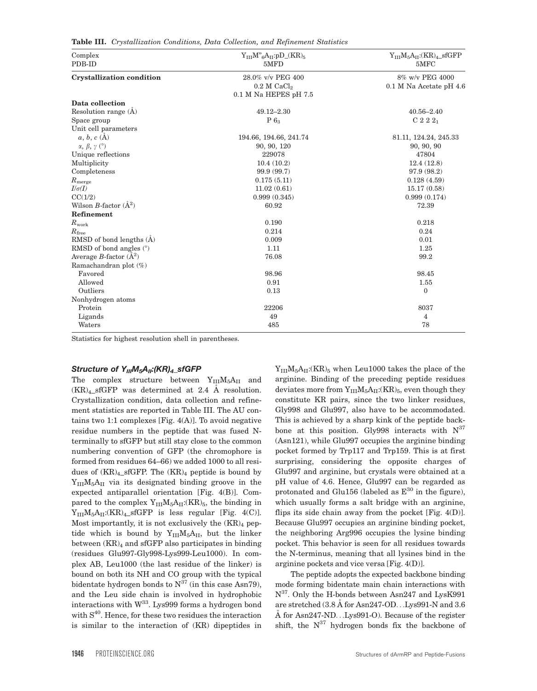|  | <b>Table III.</b> Crystallization Conditions, Data Collection, and Refinement Statistics |  |  |  |  |  |  |
|--|------------------------------------------------------------------------------------------|--|--|--|--|--|--|
|--|------------------------------------------------------------------------------------------|--|--|--|--|--|--|

| Complex<br>PDB-ID                 | $Y_{III}M''_{6}A_{II}$ :pD_(KR) <sub>5</sub><br>5MFD | $Y_{III}M_5A_{II}$ : $(KR)_{4}$ _sfGFP<br>5MFC |
|-----------------------------------|------------------------------------------------------|------------------------------------------------|
| <b>Crystallization condition</b>  | 28.0% v/v PEG 400                                    | 8% w/v PEG 4000                                |
|                                   | $0.2$ M CaCl <sub>2</sub>                            | 0.1 M Na Acetate pH 4.6                        |
|                                   | 0.1 M Na HEPES pH 7.5                                |                                                |
| Data collection                   |                                                      |                                                |
| Resolution range $(A)$            | $49.12 - 2.30$                                       | $40.56 - 2.40$                                 |
| Space group                       | $P_6$ <sub>3</sub>                                   | $C_2 2_1$                                      |
| Unit cell parameters              |                                                      |                                                |
| $a, b, c$ (A)                     | 194.66, 194.66, 241.74                               | 81.11, 124.24, 245.33                          |
| $\alpha$ , $\beta$ , $\gamma$ (°) | 90, 90, 120                                          | 90, 90, 90                                     |
| Unique reflections                | 229078                                               | 47804                                          |
| Multiplicity                      | 10.4(10.2)                                           | 12.4(12.8)                                     |
| Completeness                      | 99.9 (99.7)                                          | 97.9 (98.2)                                    |
| $R_{\rm merge}$                   | 0.175(5.11)                                          | 0.128(4.59)                                    |
| $I/\sigma(I)$                     | 11.02(0.61)                                          | 15.17(0.58)                                    |
| CC(1/2)                           | 0.999(0.345)                                         | 0.999(0.174)                                   |
| Wilson B-factor $(\AA^2)$         | 60.92                                                | 72.39                                          |
| Refinement                        |                                                      |                                                |
| $R_{\rm work}$                    | 0.190                                                | 0.218                                          |
| $R_{\rm free}$                    | 0.214                                                | 0.24                                           |
| RMSD of bond lengths $(A)$        | 0.009                                                | 0.01                                           |
| RMSD of bond angles (°)           | 1.11                                                 | 1.25                                           |
| Average B-factor $(\AA^2)$        | 76.08                                                | 99.2                                           |
| Ramachandran plot (%)             |                                                      |                                                |
| Favored                           | 98.96                                                | 98.45                                          |
| Allowed                           | 0.91                                                 | 1.55                                           |
| Outliers                          | 0.13                                                 | $\mathbf{0}$                                   |
| Nonhydrogen atoms                 |                                                      |                                                |
| Protein                           | 22206                                                | 8037                                           |
| Ligands                           | 49                                                   | $\overline{4}$                                 |
| Waters                            | 485                                                  | 78                                             |

Statistics for highest resolution shell in parentheses.

# Structure of Y<sub>III</sub>M<sub>5</sub>A<sub>II</sub>:(KR)<sub>4\_</sub>sfGFP

The complex structure between  $Y_{III}M_5A_{II}$  and  $(KR)_{4-}$ sfGFP was determined at 2.4 Å resolution. Crystallization condition, data collection and refinement statistics are reported in Table III. The AU contains two 1:1 complexes [Fig.  $4(A)$ ]. To avoid negative residue numbers in the peptide that was fused Nterminally to sfGFP but still stay close to the common numbering convention of GFP (the chromophore is formed from residues 64–66) we added 1000 to all residues of  $(KR)_{4-}$ sfGFP. The  $(KR)_{4}$  peptide is bound by  $Y_{III}M_5A_{II}$  via its designated binding groove in the expected antiparallel orientation [Fig. 4(B)]. Compared to the complex  $Y_{III}M_5A_{II}:(KR)_5$ , the binding in  $Y_{III}M_5A_{II}:(KR)_{4-}sfGFP$  is less regular [Fig. 4(C)]. Most importantly, it is not exclusively the  $(KR)_4$  peptide which is bound by  $Y_{III}M_5A_{II}$ , but the linker between  $(KR)<sub>4</sub>$  and sfGFP also participates in binding (residues Glu997-Gly998-Lys999-Leu1000). In complex AB, Leu1000 (the last residue of the linker) is bound on both its NH and CO group with the typical bidentate hydrogen bonds to  $N^{37}$  (in this case Asn79), and the Leu side chain is involved in hydrophobic interactions with  $W^{33}$ . Lys999 forms a hydrogen bond with  $S^{40}$ . Hence, for these two residues the interaction is similar to the interaction of (KR) dipeptides in

 $Y_{III}M_5A_{II}:(KR)_5$  when Leu1000 takes the place of the arginine. Binding of the preceding peptide residues deviates more from  $Y_{III}M_5A_{II}$ :(KR)<sub>5</sub>, even though they constitute KR pairs, since the two linker residues, Gly998 and Glu997, also have to be accommodated. This is achieved by a sharp kink of the peptide backbone at this position. Gly998 interacts with  $N^{37}$ (Asn121), while Glu997 occupies the arginine binding pocket formed by Trp117 and Trp159. This is at first surprising, considering the opposite charges of Glu997 and arginine, but crystals were obtained at a pH value of 4.6. Hence, Glu997 can be regarded as protonated and Glu156 (labeled as  $E^{30}$  in the figure), which usually forms a salt bridge with an arginine, flips its side chain away from the pocket [Fig. 4(D)]. Because Glu997 occupies an arginine binding pocket, the neighboring Arg996 occupies the lysine binding pocket. This behavior is seen for all residues towards the N-terminus, meaning that all lysines bind in the arginine pockets and vice versa [Fig. 4(D)].

The peptide adopts the expected backbone binding mode forming bidentate main chain interactions with N37. Only the H-bonds between Asn247 and LysK991 are stretched (3.8 Å for Asn247-OD...Lys991-N and 3.6  $\AA$  for Asn247-ND...Lys991-O). Because of the register shift, the  $N^{37}$  hydrogen bonds fix the backbone of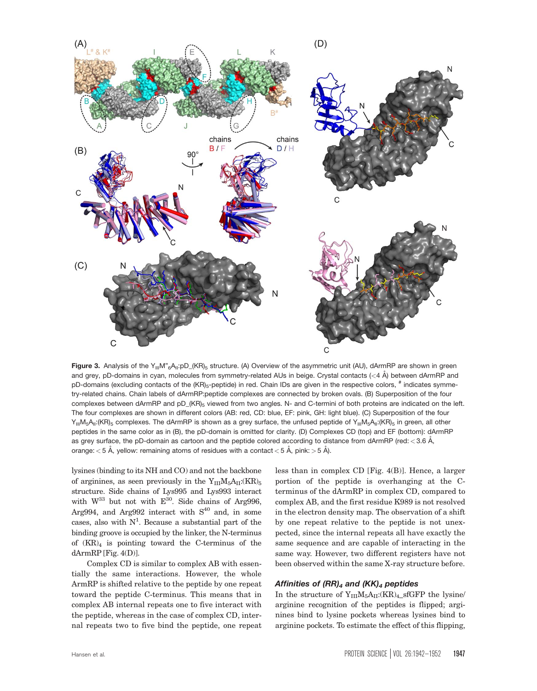

Figure 3. Analysis of the Y<sub>III</sub>M"<sub>6</sub>A<sub>II</sub>:pD\_(KR)<sub>5</sub> structure. (A) Overview of the asymmetric unit (AU), dArmRP are shown in green and grey, pD-domains in cyan, molecules from symmetry-related AUs in beige. Crystal contacts (<4 Å) between dArmRP and pD-domains (excluding contacts of the  $(KR)_{5}$ -peptide) in red. Chain IDs are given in the respective colors, # indicates symmetry-related chains. Chain labels of dArmRP:peptide complexes are connected by broken ovals. (B) Superposition of the four complexes between dArmRP and pD\_(KR)<sub>5</sub> viewed from two angles. N- and C-termini of both proteins are indicated on the left. The four complexes are shown in different colors (AB: red, CD: blue, EF: pink, GH: light blue). (C) Superposition of the four  $Y_{III}M_5A_{II}$ :(KR)<sub>5</sub> complexes. The dArmRP is shown as a grey surface, the unfused peptide of  $Y_{III}M_5A_{II}$ :(KR)<sub>5</sub> in green, all other peptides in the same color as in (B), the pD-domain is omitted for clarity. (D) Complexes CD (top) and EF (bottom): dArmRP as grey surface, the pD-domain as cartoon and the peptide colored according to distance from dArmRP (red:  $<$  3.6 Å, orange:  $<$  5 A, yellow: remaining atoms of residues with a contact  $<$  5 A, pink: > 5 A).

lysines (binding to its NH and CO) and not the backbone of arginines, as seen previously in the  $Y_{III}M_5A_{II}:(KR)_{5}$ structure. Side chains of Lys995 and Lys993 interact with  $W^{33}$  but not with  $E^{30}$ . Side chains of Arg996, Arg994, and Arg992 interact with  $S^{40}$  and, in some cases, also with  $N^1$ . Because a substantial part of the binding groove is occupied by the linker, the N-terminus of  $(KR)_4$  is pointing toward the C-terminus of the dArmRP [Fig. 4(D)].

Complex CD is similar to complex AB with essentially the same interactions. However, the whole ArmRP is shifted relative to the peptide by one repeat toward the peptide C-terminus. This means that in complex AB internal repeats one to five interact with the peptide, whereas in the case of complex CD, internal repeats two to five bind the peptide, one repeat less than in complex CD [Fig. 4(B)]. Hence, a larger portion of the peptide is overhanging at the Cterminus of the dArmRP in complex CD, compared to complex AB, and the first residue K989 is not resolved in the electron density map. The observation of a shift by one repeat relative to the peptide is not unexpected, since the internal repeats all have exactly the same sequence and are capable of interacting in the same way. However, two different registers have not been observed within the same X-ray structure before.

# Affinities of  $(RR)_4$  and  $(KK)_4$  peptides

In the structure of  $Y_{III}M_5A_{II}$ :(KR)<sub>4</sub>\_sfGFP the lysine/ arginine recognition of the peptides is flipped; arginines bind to lysine pockets whereas lysines bind to arginine pockets. To estimate the effect of this flipping,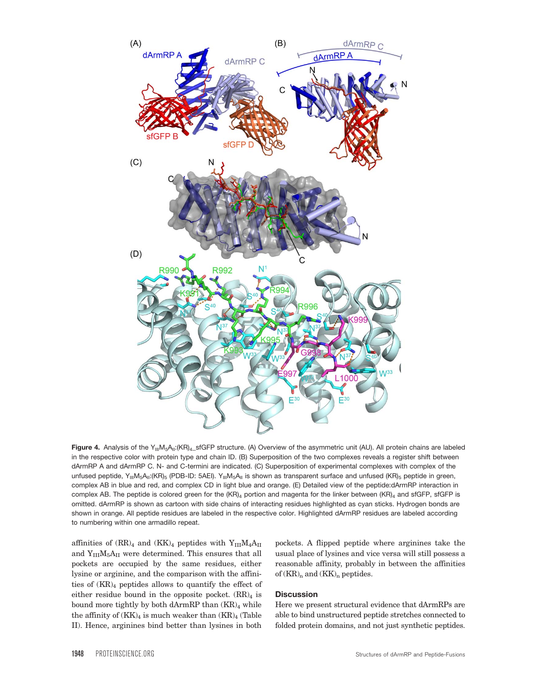

Figure 4. Analysis of the Y<sub>III</sub>M<sub>5</sub>A<sub>II</sub>:(KR)<sub>4</sub>\_sfGFP structure. (A) Overview of the asymmetric unit (AU). All protein chains are labeled in the respective color with protein type and chain ID. (B) Superposition of the two complexes reveals a register shift between dArmRP A and dArmRP C. N- and C-termini are indicated. (C) Superposition of experimental complexes with complex of the unfused peptide, Y<sub>III</sub>M<sub>5</sub>A<sub>II</sub>:(KR)<sub>5</sub> (PDB-ID: [5AEI](info:x-wiley/pdb/5AEI)). Y<sub>III</sub>M<sub>5</sub>A<sub>II</sub> is shown as transparent surface and unfused (KR)<sub>5</sub> peptide in green, complex AB in blue and red, and complex CD in light blue and orange. (E) Detailed view of the peptide:dArmRP interaction in complex AB. The peptide is colored green for the  $(KR)_4$  portion and magenta for the linker between  $(KR)_4$  and sfGFP, sfGFP is omitted. dArmRP is shown as cartoon with side chains of interacting residues highlighted as cyan sticks. Hydrogen bonds are shown in orange. All peptide residues are labeled in the respective color. Highlighted dArmRP residues are labeled according to numbering within one armadillo repeat.

affinities of  $(RR)_4$  and  $(KK)_4$  peptides with  $Y_{III}M_4A_{II}$ and  $Y_{III}M_5A_{II}$  were determined. This ensures that all pockets are occupied by the same residues, either lysine or arginine, and the comparison with the affinities of  $(KR)_4$  peptides allows to quantify the effect of either residue bound in the opposite pocket.  $(RR)_4$  is bound more tightly by both dArmRP than  $(KR)_4$  while the affinity of  $(KK)_4$  is much weaker than  $(KR)_4$  (Table II). Hence, arginines bind better than lysines in both

pockets. A flipped peptide where arginines take the usual place of lysines and vice versa will still possess a reasonable affinity, probably in between the affinities of  $(KR)_n$  and  $(KK)_n$  peptides.

#### **Discussion**

Here we present structural evidence that dArmRPs are able to bind unstructured peptide stretches connected to folded protein domains, and not just synthetic peptides.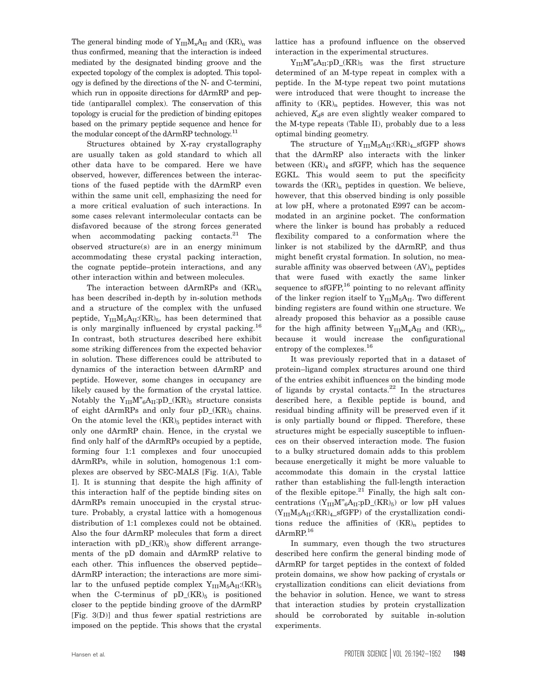The general binding mode of  $Y_{III}M_{x}A_{II}$  and  $(KR)_{n}$  was thus confirmed, meaning that the interaction is indeed mediated by the designated binding groove and the expected topology of the complex is adopted. This topology is defined by the directions of the N- and C-termini, which run in opposite directions for dArmRP and peptide (antiparallel complex). The conservation of this topology is crucial for the prediction of binding epitopes based on the primary peptide sequence and hence for the modular concept of the dArmRP technology.<sup>11</sup>

Structures obtained by X-ray crystallography are usually taken as gold standard to which all other data have to be compared. Here we have observed, however, differences between the interactions of the fused peptide with the dArmRP even within the same unit cell, emphasizing the need for a more critical evaluation of such interactions. In some cases relevant intermolecular contacts can be disfavored because of the strong forces generated when accommodating packing contacts.<sup>21</sup> The observed structure(s) are in an energy minimum accommodating these crystal packing interaction, the cognate peptide–protein interactions, and any other interaction within and between molecules.

The interaction between dArmRPs and  $(KR)$ <sub>n</sub> has been described in-depth by in-solution methods and a structure of the complex with the unfused peptide,  $Y_{III}M_5A_{II}:(KR)_5$ , has been determined that is only marginally influenced by crystal packing.<sup>16</sup> In contrast, both structures described here exhibit some striking differences from the expected behavior in solution. These differences could be attributed to dynamics of the interaction between dArmRP and peptide. However, some changes in occupancy are likely caused by the formation of the crystal lattice. Notably the  $Y_{III}M^{\prime\prime}{}_{6}A_{II}$ :pD\_(KR)<sub>5</sub> structure consists of eight dArmRPs and only four  $pD_{(KR)5}$  chains. On the atomic level the  $(KR)_5$  peptides interact with only one dArmRP chain. Hence, in the crystal we find only half of the dArmRPs occupied by a peptide, forming four 1:1 complexes and four unoccupied dArmRPs, while in solution, homogenous 1:1 complexes are observed by SEC-MALS [Fig. 1(A), Table I]. It is stunning that despite the high affinity of this interaction half of the peptide binding sites on dArmRPs remain unoccupied in the crystal structure. Probably, a crystal lattice with a homogenous distribution of 1:1 complexes could not be obtained. Also the four dArmRP molecules that form a direct interaction with  $pD_{K}(R)$ <sub>5</sub> show different arrangements of the pD domain and dArmRP relative to each other. This influences the observed peptide– dArmRP interaction; the interactions are more similar to the unfused peptide complex  $Y_{III}M_5A_{II}:(KR)_5$ when the C-terminus of  $pD_{(KR)_5}$  is positioned closer to the peptide binding groove of the dArmRP [Fig. 3(D)] and thus fewer spatial restrictions are imposed on the peptide. This shows that the crystal

lattice has a profound influence on the observed interaction in the experimental structures.

 $Y_{III}M_{6}^{n}A_{II}:pD_{K}K_{5}$  was the first structure determined of an M-type repeat in complex with a peptide. In the M-type repeat two point mutations were introduced that were thought to increase the affinity to  $(KR)$ <sub>n</sub> peptides. However, this was not achieved,  $K_d$ s are even slightly weaker compared to the M-type repeats (Table II), probably due to a less optimal binding geometry.

The structure of  $Y_{III}M_5A_{II}:(KR)_{4}$  sfGFP shows that the dArmRP also interacts with the linker between  $(KR)_4$  and sfGFP, which has the sequence EGKL. This would seem to put the specificity towards the  $(KR)$ <sub>n</sub> peptides in question. We believe, however, that this observed binding is only possible at low pH, where a protonated E997 can be accommodated in an arginine pocket. The conformation where the linker is bound has probably a reduced flexibility compared to a conformation where the linker is not stabilized by the dArmRP, and thus might benefit crystal formation. In solution, no measurable affinity was observed between  $({\rm AV})_n$  peptides that were fused with exactly the same linker sequence to sfGFP, $^{16}$  pointing to no relevant affinity of the linker region itself to  $Y_{III}M_5A_{II}$ . Two different binding registers are found within one structure. We already proposed this behavior as a possible cause for the high affinity between  $Y_{III}M_{x}A_{II}$  and  $(KR)_{n}$ , because it would increase the configurational entropy of the complexes.16

It was previously reported that in a dataset of protein–ligand complex structures around one third of the entries exhibit influences on the binding mode of ligands by crystal contacts. $22$  In the structures described here, a flexible peptide is bound, and residual binding affinity will be preserved even if it is only partially bound or flipped. Therefore, these structures might be especially susceptible to influences on their observed interaction mode. The fusion to a bulky structured domain adds to this problem because energetically it might be more valuable to accommodate this domain in the crystal lattice rather than establishing the full-length interaction of the flexible epitope. $21$  Finally, the high salt concentrations  $(Y_{III}M''_6A_{II} : pD_{K}(KR)_5)$  or low pH values  $(Y_{III}M_5A_{II}:(KR)_{4\_s}fGFP)$  of the crystallization conditions reduce the affinities of  $(KR)_n$  peptides to dArmRP.<sup>16</sup>

In summary, even though the two structures described here confirm the general binding mode of dArmRP for target peptides in the context of folded protein domains, we show how packing of crystals or crystallization conditions can elicit deviations from the behavior in solution. Hence, we want to stress that interaction studies by protein crystallization should be corroborated by suitable in-solution experiments.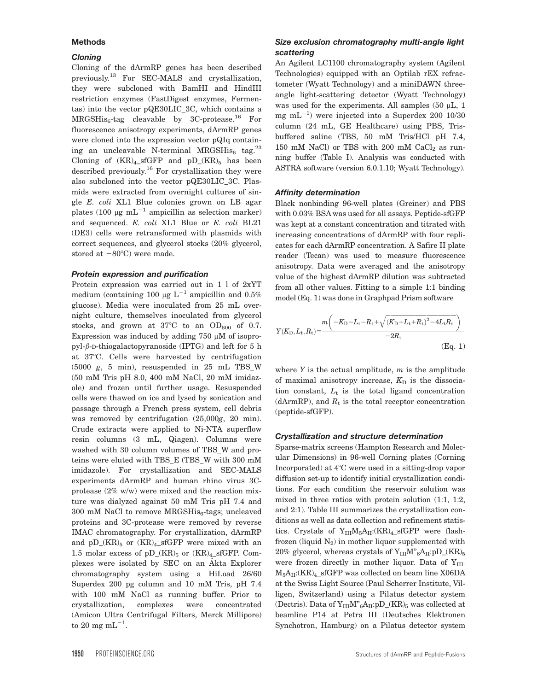#### Methods

# **Cloning**

Cloning of the dArmRP genes has been described previously.13 For SEC-MALS and crystallization, they were subcloned with BamHI and HindIII restriction enzymes (FastDigest enzymes, Fermentas) into the vector pQE30LIC\_3C, which contains a  $MRGSHis<sub>6</sub>$ -tag cleavable by 3C-protease.<sup>16</sup> For fluorescence anisotropy experiments, dArmRP genes were cloned into the expression vector pQIq containing an uncleavable N-terminal MRGSHis $_6$  tag.<sup>23</sup> Cloning of  $(KR)_{4-}$ sfGFP and pD\_(KR)<sub>5</sub> has been described previously.<sup>16</sup> For crystallization they were also subcloned into the vector pQE30LIC\_3C. Plasmids were extracted from overnight cultures of single E. coli XL1 Blue colonies grown on LB agar plates (100  $\mu$ g mL<sup>-1</sup> ampicillin as selection marker) and sequenced. E. coli XL1 Blue or E. coli BL21 (DE3) cells were retransformed with plasmids with correct sequences, and glycerol stocks (20% glycerol, stored at  $-80^{\circ}$ C) were made.

#### Protein expression and purification

Protein expression was carried out in 1 l of 2xYT medium (containing 100  $\mu$ g L<sup>-1</sup> ampicillin and 0.5% glucose). Media were inoculated from 25 mL overnight culture, themselves inoculated from glycerol stocks, and grown at  $37^{\circ}$ C to an OD<sub>600</sub> of 0.7. Expression was induced by adding  $750 \mu M$  of isopropyl- $\beta$ -D-thiogalactopyranoside (IPTG) and left for 5 h at 378C. Cells were harvested by centrifugation (5000 g, 5 min), resuspended in 25 mL TBS\_W (50 mM Tris pH 8.0, 400 mM NaCl, 20 mM imidazole) and frozen until further usage. Resuspended cells were thawed on ice and lysed by sonication and passage through a French press system, cell debris was removed by centrifugation (25,000g, 20 min). Crude extracts were applied to Ni-NTA superflow resin columns (3 mL, Qiagen). Columns were washed with 30 column volumes of TBS\_W and proteins were eluted with TBS\_E (TBS\_W with 300 mM imidazole). For crystallization and SEC-MALS experiments dArmRP and human rhino virus 3Cprotease (2% w/w) were mixed and the reaction mixture was dialyzed against 50 mM Tris pH 7.4 and 300 mM NaCl to remove  $MRGSHis_6$ -tags; uncleaved proteins and 3C-protease were removed by reverse IMAC chromatography. For crystallization, dArmRP and  $pD_{(KR)5}$  or  $(KR)_{4}$  sfGFP were mixed with an 1.5 molar excess of  $pD_{KR)_5}$  or  $(KR)_{4-}$ sfGFP. Complexes were isolated by SEC on an Akta Explorer chromatography system using a HiLoad 26/60 Superdex 200 pg column and 10 mM Tris, pH 7.4 with 100 mM NaCl as running buffer. Prior to crystallization, complexes were concentrated (Amicon Ultra Centrifugal Filters, Merck Millipore) to 20 mg m $L^{-1}$ .

# Size exclusion chromatography multi-angle light scattering

An Agilent LC1100 chromatography system (Agilent Technologies) equipped with an Optilab rEX refractometer (Wyatt Technology) and a miniDAWN threeangle light-scattering detector (Wyatt Technology) was used for the experiments. All samples  $(50 \mu L, 1)$ mg  $mL^{-1}$ ) were injected into a Superdex 200 10/30 column (24 mL, GE Healthcare) using PBS, Trisbuffered saline (TBS, 50 mM Tris/HCl pH 7.4, 150 mM NaCl) or TBS with 200 mM  $CaCl<sub>2</sub>$  as running buffer (Table I). Analysis was conducted with ASTRA software (version 6.0.1.10; Wyatt Technology).

# Affinity determination

Black nonbinding 96-well plates (Greiner) and PBS with 0.03% BSA was used for all assays. Peptide-sfGFP was kept at a constant concentration and titrated with increasing concentrations of dArmRP with four replicates for each dArmRP concentration. A Safire II plate reader (Tecan) was used to measure fluorescence anisotropy. Data were averaged and the anisotropy value of the highest dArmRP dilution was subtracted from all other values. Fitting to a simple 1:1 binding model (Eq. 1) was done in Graphpad Prism software

$$
Y(K_{D},L_{t},R_{t}) = \frac{m\left(-K_{D}-L_{t}-R_{t}+\sqrt{(K_{D}+L_{t}+R_{t})^{2}-4L_{t}R_{t}}\right)}{-2R_{t}}
$$
\n(Eq. 1)

where  $Y$  is the actual amplitude,  $m$  is the amplitude of maximal anisotropy increase,  $K<sub>D</sub>$  is the dissociation constant,  $L_t$  is the total ligand concentration (dArmRP), and  $R_t$  is the total receptor concentration (peptide-sfGFP).

#### Crystallization and structure determination

Sparse-matrix screens (Hampton Research and Molecular Dimensions) in 96-well Corning plates (Corning Incorporated) at 4°C were used in a sitting-drop vapor diffusion set-up to identify initial crystallization conditions. For each condition the reservoir solution was mixed in three ratios with protein solution (1:1, 1:2, and 2:1). Table III summarizes the crystallization conditions as well as data collection and refinement statistics. Crystals of  $Y_{III}M_5A_{II}:(KR)_{4-}sGFP$  were flashfrozen (liquid  $N_2$ ) in mother liquor supplemented with  $20\%$  glycerol, whereas crystals of  $Y_{III}M''_{6}A_{II}$ :pD\_(KR)<sub>5</sub> were frozen directly in mother liquor. Data of  $Y_{III}$ .  $M_5A_{II}$ :(KR)<sub>4</sub>\_sfGFP was collected on beam line X06DA at the Swiss Light Source (Paul Scherrer Institute, Villigen, Switzerland) using a Pilatus detector system (Dectris). Data of  $Y_{III}M''_{6}A_{II}$ :pD\_(KR)<sub>5</sub> was collected at beamline P14 at Petra III (Deutsches Elektronen Synchotron, Hamburg) on a Pilatus detector system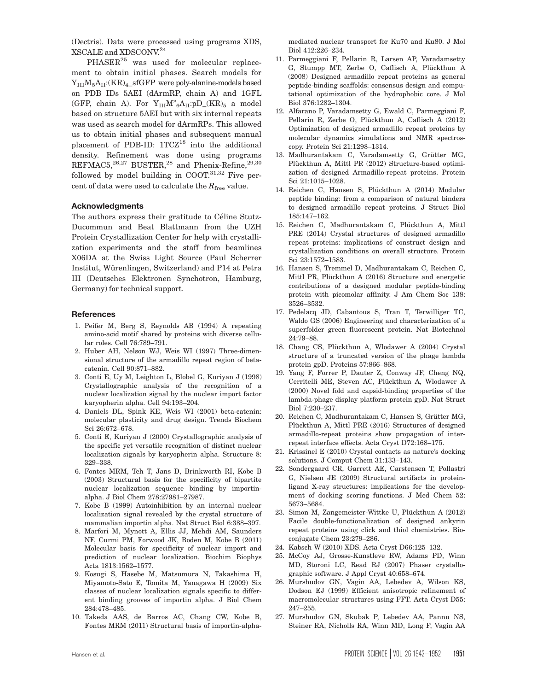(Dectris). Data were processed using programs XDS, XSCALE and XDSCONV.24

PHASER<sup>25</sup> was used for molecular replacement to obtain initial phases. Search models for  $Y_{III}M_5A_{II}:(KR)_{4-}sfGFP$  were poly-alanine-models based on PDB IDs 5AEI (dArmRP, chain A) and 1GFL (GFP, chain A). For  $Y_{III}M''_{6}A_{II}$ :pD\_(KR)<sub>5</sub> a model based on structure 5AEI but with six internal repeats was used as search model for dArmRPs. This allowed us to obtain initial phases and subsequent manual placement of PDB-ID:  $1TCZ^{18}$  into the additional density. Refinement was done using programs REFMAC5,<sup>26,27</sup> BUSTER,<sup>28</sup> and Phenix-Refine,<sup>29,30</sup> followed by model building in COOT.<sup>31,32</sup> Five percent of data were used to calculate the  $R_{\text{free}}$  value.

#### Acknowledgments

The authors express their gratitude to Céline Stutz-Ducommun and Beat Blattmann from the UZH Protein Crystallization Center for help with crystallization experiments and the staff from beamlines X06DA at the Swiss Light Source (Paul Scherrer Institut, Würenlingen, Switzerland) and P14 at Petra III (Deutsches Elektronen Synchotron, Hamburg, Germany) for technical support.

#### **References**

- 1. Peifer M, Berg S, Reynolds AB (1994) A repeating amino-acid motif shared by proteins with diverse cellular roles. Cell 76:789–791.
- 2. Huber AH, Nelson WJ, Weis WI (1997) Three-dimensional structure of the armadillo repeat region of betacatenin. Cell 90:871–882.
- 3. Conti E, Uy M, Leighton L, Blobel G, Kuriyan J (1998) Crystallographic analysis of the recognition of a nuclear localization signal by the nuclear import factor karyopherin alpha. Cell 94:193–204.
- 4. Daniels DL, Spink KE, Weis WI (2001) beta-catenin: molecular plasticity and drug design. Trends Biochem Sci 26:672–678.
- 5. Conti E, Kuriyan J (2000) Crystallographic analysis of the specific yet versatile recognition of distinct nuclear localization signals by karyopherin alpha. Structure 8: 329–338.
- 6. Fontes MRM, Teh T, Jans D, Brinkworth RI, Kobe B (2003) Structural basis for the specificity of bipartite nuclear localization sequence binding by importinalpha. J Biol Chem 278:27981–27987.
- 7. Kobe B (1999) Autoinhibition by an internal nuclear localization signal revealed by the crystal structure of mammalian importin alpha. Nat Struct Biol 6:388–397.
- 8. Marfori M, Mynott A, Ellis JJ, Mehdi AM, Saunders NF, Curmi PM, Forwood JK, Boden M, Kobe B (2011) Molecular basis for specificity of nuclear import and prediction of nuclear localization. Biochim Biophys Acta 1813:1562–1577.
- 9. Kosugi S, Hasebe M, Matsumura N, Takashima H, Miyamoto-Sato E, Tomita M, Yanagawa H (2009) Six classes of nuclear localization signals specific to different binding grooves of importin alpha. J Biol Chem 284:478–485.
- 10. Takeda AAS, de Barros AC, Chang CW, Kobe B, Fontes MRM (2011) Structural basis of importin-alpha-

mediated nuclear transport for Ku70 and Ku80. J Mol Biol 412:226–234.

- 11. Parmeggiani F, Pellarin R, Larsen AP, Varadamsetty G, Stumpp MT, Zerbe O, Caflisch A, Plückthun A (2008) Designed armadillo repeat proteins as general peptide-binding scaffolds: consensus design and computational optimization of the hydrophobic core. J Mol Biol 376:1282–1304.
- 12. Alfarano P, Varadamsetty G, Ewald C, Parmeggiani F, Pellarin R, Zerbe O, Plückthun A, Caflisch A (2012) Optimization of designed armadillo repeat proteins by molecular dynamics simulations and NMR spectroscopy. Protein Sci 21:1298–1314.
- 13. Madhurantakam C, Varadamsetty G, Grütter MG, Plückthun A, Mittl PR (2012) Structure-based optimization of designed Armadillo-repeat proteins. Protein Sci 21:1015–1028.
- 14. Reichen C, Hansen S, Plückthun A (2014) Modular peptide binding: from a comparison of natural binders to designed armadillo repeat proteins. J Struct Biol 185:147–162.
- 15. Reichen C, Madhurantakam C, Plückthun A, Mittl PRE (2014) Crystal structures of designed armadillo repeat proteins: implications of construct design and crystallization conditions on overall structure. Protein Sci 23:1572–1583.
- 16. Hansen S, Tremmel D, Madhurantakam C, Reichen C, Mittl PR, Plückthun A (2016) Structure and energetic contributions of a designed modular peptide-binding protein with picomolar affinity. J Am Chem Soc 138: 3526–3532.
- 17. Pedelacq JD, Cabantous S, Tran T, Terwilliger TC, Waldo GS (2006) Engineering and characterization of a superfolder green fluorescent protein. Nat Biotechnol 24:79–88.
- 18. Chang CS, Plückthun A, Wlodawer A (2004) Crystal structure of a truncated version of the phage lambda protein gpD. Proteins 57:866–868.
- 19. Yang F, Forrer P, Dauter Z, Conway JF, Cheng NQ, Cerritelli ME, Steven AC, Plückthun A, Wlodawer A (2000) Novel fold and capsid-binding properties of the lambda-phage display platform protein gpD. Nat Struct Biol 7:230–237.
- 20. Reichen C, Madhurantakam C, Hansen S, Grütter MG, Plückthun A, Mittl PRE (2016) Structures of designed armadillo-repeat proteins show propagation of interrepeat interface effects. Acta Cryst D72:168–175.
- 21. Krissinel E (2010) Crystal contacts as nature's docking solutions. J Comput Chem 31:133–143.
- 22. Sondergaard CR, Garrett AE, Carstensen T, Pollastri G, Nielsen JE (2009) Structural artifacts in proteinligand X-ray structures: implications for the development of docking scoring functions. J Med Chem 52: 5673–5684.
- 23. Simon M, Zangemeister-Wittke U, Plückthun A (2012) Facile double-functionalization of designed ankyrin repeat proteins using click and thiol chemistries. Bioconjugate Chem 23:279–286.
- 24. Kabsch W (2010) XDS. Acta Cryst D66:125–132.
- 25. McCoy AJ, Grosse-Kunstleve RW, Adams PD, Winn MD, Storoni LC, Read RJ (2007) Phaser crystallographic software. J Appl Cryst 40:658–674.
- 26. Murshudov GN, Vagin AA, Lebedev A, Wilson KS, Dodson EJ (1999) Efficient anisotropic refinement of macromolecular structures using FFT. Acta Cryst D55: 247–255.
- 27. Murshudov GN, Skubak P, Lebedev AA, Pannu NS, Steiner RA, Nicholls RA, Winn MD, Long F, Vagin AA